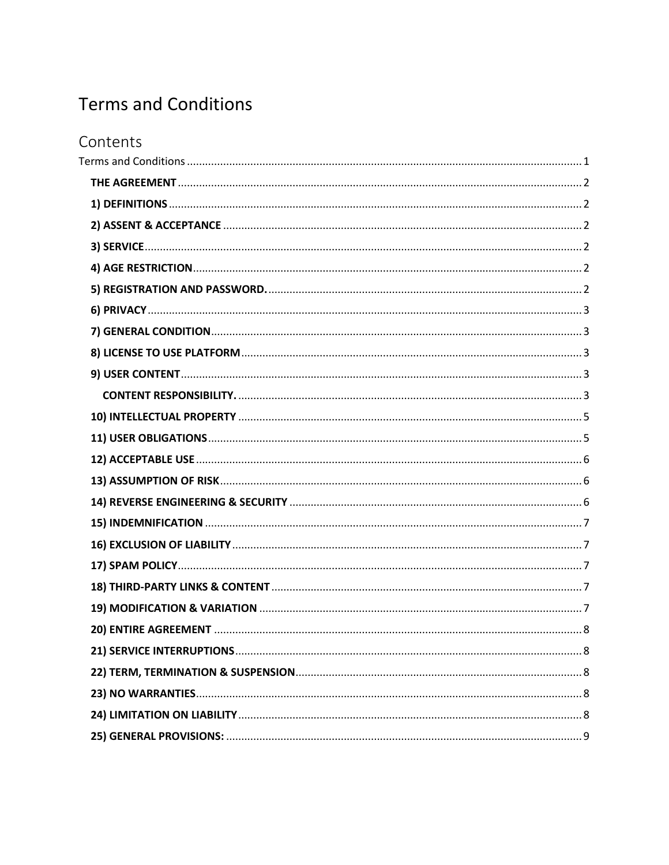# <span id="page-0-0"></span>**Terms and Conditions**

| Contents |
|----------|
|          |
|          |
|          |
|          |
|          |
|          |
|          |
|          |
|          |
|          |
|          |
|          |
|          |
|          |
|          |
|          |
|          |
|          |
|          |
|          |
|          |
|          |
|          |
|          |
|          |
|          |
|          |
|          |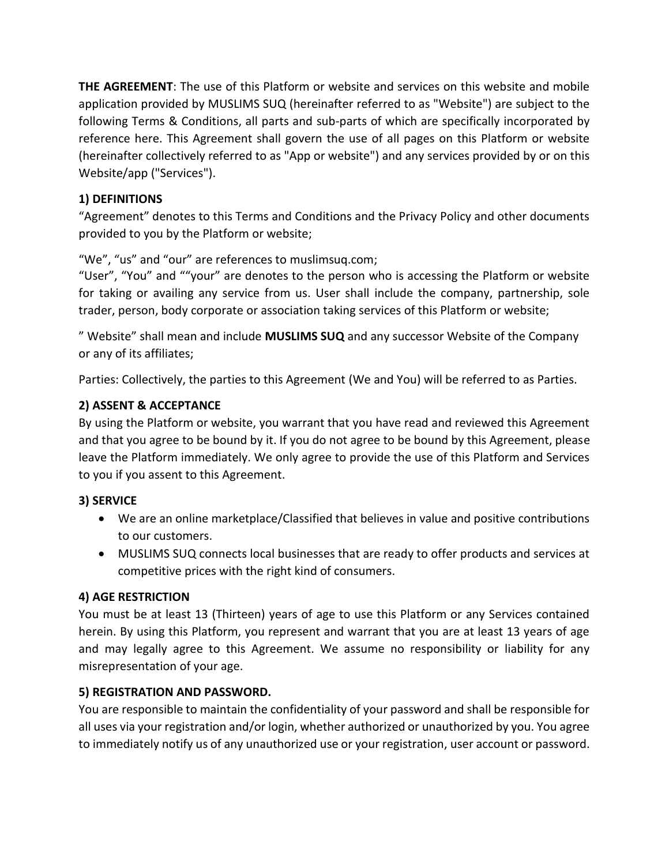<span id="page-1-0"></span>**THE AGREEMENT**: The use of this Platform or website and services on this website and mobile application provided by MUSLIMS SUQ (hereinafter referred to as "Website") are subject to the following Terms & Conditions, all parts and sub-parts of which are specifically incorporated by reference here. This Agreement shall govern the use of all pages on this Platform or website (hereinafter collectively referred to as "App or website") and any services provided by or on this Website/app ("Services").

# <span id="page-1-1"></span>**1) DEFINITIONS**

"Agreement" denotes to this Terms and Conditions and the Privacy Policy and other documents provided to you by the Platform or website;

"We", "us" and "our" are references to muslimsuq.com;

"User", "You" and ""your" are denotes to the person who is accessing the Platform or website for taking or availing any service from us. User shall include the company, partnership, sole trader, person, body corporate or association taking services of this Platform or website;

" Website" shall mean and include **MUSLIMS SUQ** and any successor Website of the Company or any of its affiliates;

Parties: Collectively, the parties to this Agreement (We and You) will be referred to as Parties.

# <span id="page-1-2"></span>**2) ASSENT & ACCEPTANCE**

By using the Platform or website, you warrant that you have read and reviewed this Agreement and that you agree to be bound by it. If you do not agree to be bound by this Agreement, please leave the Platform immediately. We only agree to provide the use of this Platform and Services to you if you assent to this Agreement.

# <span id="page-1-3"></span>**3) SERVICE**

- We are an online marketplace/Classified that believes in value and positive contributions to our customers.
- MUSLIMS SUQ connects local businesses that are ready to offer products and services at competitive prices with the right kind of consumers.

# <span id="page-1-4"></span>**4) AGE RESTRICTION**

You must be at least 13 (Thirteen) years of age to use this Platform or any Services contained herein. By using this Platform, you represent and warrant that you are at least 13 years of age and may legally agree to this Agreement. We assume no responsibility or liability for any misrepresentation of your age.

# <span id="page-1-5"></span>**5) REGISTRATION AND PASSWORD.**

You are responsible to maintain the confidentiality of your password and shall be responsible for all uses via your registration and/or login, whether authorized or unauthorized by you. You agree to immediately notify us of any unauthorized use or your registration, user account or password.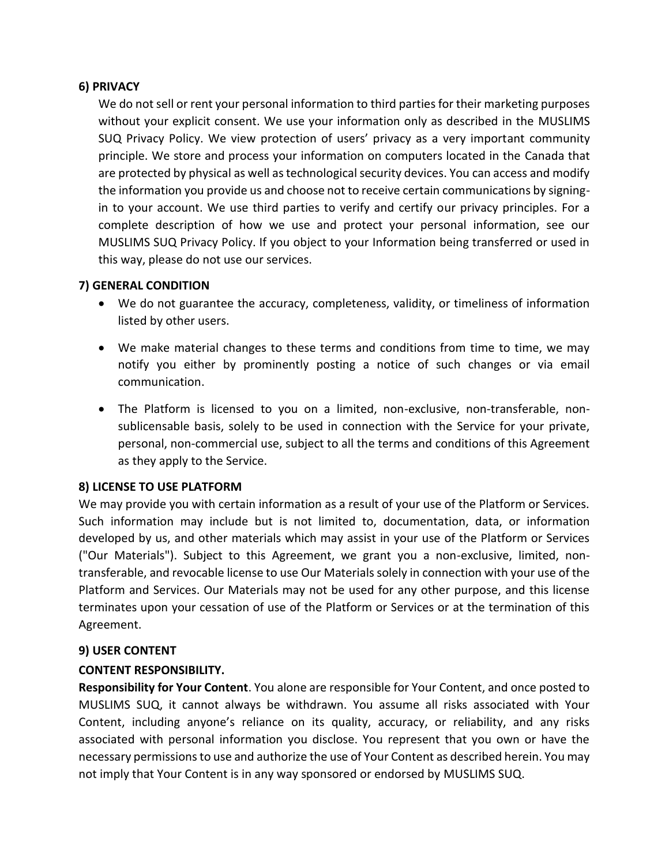#### <span id="page-2-0"></span>**6) PRIVACY**

We do not sell or rent your personal information to third parties for their marketing purposes without your explicit consent. We use your information only as described in the MUSLIMS SUQ Privacy Policy. We view protection of users' privacy as a very important community principle. We store and process your information on computers located in the Canada that are protected by physical as well as technological security devices. You can access and modify the information you provide us and choose not to receive certain communications by signingin to your account. We use third parties to verify and certify our privacy principles. For a complete description of how we use and protect your personal information, see our MUSLIMS SUQ Privacy Policy. If you object to your Information being transferred or used in this way, please do not use our services.

#### <span id="page-2-1"></span>**7) GENERAL CONDITION**

- We do not guarantee the accuracy, completeness, validity, or timeliness of information listed by other users.
- We make material changes to these terms and conditions from time to time, we may notify you either by prominently posting a notice of such changes or via email communication.
- The Platform is licensed to you on a limited, non-exclusive, non-transferable, nonsublicensable basis, solely to be used in connection with the Service for your private, personal, non-commercial use, subject to all the terms and conditions of this Agreement as they apply to the Service.

## <span id="page-2-2"></span>**8) LICENSE TO USE PLATFORM**

We may provide you with certain information as a result of your use of the Platform or Services. Such information may include but is not limited to, documentation, data, or information developed by us, and other materials which may assist in your use of the Platform or Services ("Our Materials"). Subject to this Agreement, we grant you a non-exclusive, limited, nontransferable, and revocable license to use Our Materials solely in connection with your use of the Platform and Services. Our Materials may not be used for any other purpose, and this license terminates upon your cessation of use of the Platform or Services or at the termination of this Agreement.

#### <span id="page-2-3"></span>**9) USER CONTENT**

#### <span id="page-2-4"></span>**CONTENT RESPONSIBILITY.**

**Responsibility for Your Content**. You alone are responsible for Your Content, and once posted to MUSLIMS SUQ, it cannot always be withdrawn. You assume all risks associated with Your Content, including anyone's reliance on its quality, accuracy, or reliability, and any risks associated with personal information you disclose. You represent that you own or have the necessary permissions to use and authorize the use of Your Content as described herein. You may not imply that Your Content is in any way sponsored or endorsed by MUSLIMS SUQ.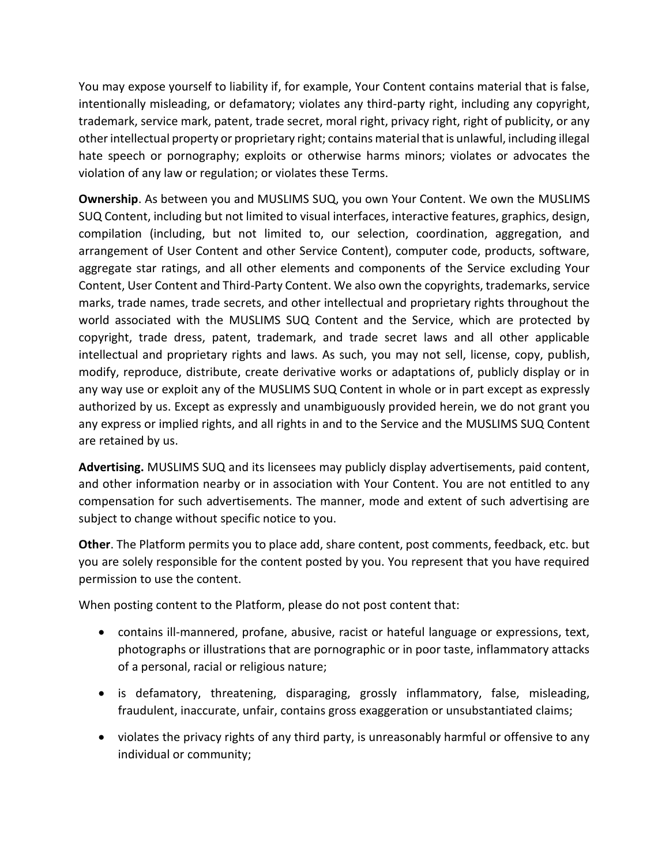You may expose yourself to liability if, for example, Your Content contains material that is false, intentionally misleading, or defamatory; violates any third-party right, including any copyright, trademark, service mark, patent, trade secret, moral right, privacy right, right of publicity, or any other intellectual property or proprietary right; contains material that is unlawful, including illegal hate speech or pornography; exploits or otherwise harms minors; violates or advocates the violation of any law or regulation; or violates these Terms.

**Ownership**. As between you and MUSLIMS SUQ, you own Your Content. We own the MUSLIMS SUQ Content, including but not limited to visual interfaces, interactive features, graphics, design, compilation (including, but not limited to, our selection, coordination, aggregation, and arrangement of User Content and other Service Content), computer code, products, software, aggregate star ratings, and all other elements and components of the Service excluding Your Content, User Content and Third-Party Content. We also own the copyrights, trademarks, service marks, trade names, trade secrets, and other intellectual and proprietary rights throughout the world associated with the MUSLIMS SUQ Content and the Service, which are protected by copyright, trade dress, patent, trademark, and trade secret laws and all other applicable intellectual and proprietary rights and laws. As such, you may not sell, license, copy, publish, modify, reproduce, distribute, create derivative works or adaptations of, publicly display or in any way use or exploit any of the MUSLIMS SUQ Content in whole or in part except as expressly authorized by us. Except as expressly and unambiguously provided herein, we do not grant you any express or implied rights, and all rights in and to the Service and the MUSLIMS SUQ Content are retained by us.

**Advertising.** MUSLIMS SUQ and its licensees may publicly display advertisements, paid content, and other information nearby or in association with Your Content. You are not entitled to any compensation for such advertisements. The manner, mode and extent of such advertising are subject to change without specific notice to you.

**Other**. The Platform permits you to place add, share content, post comments, feedback, etc. but you are solely responsible for the content posted by you. You represent that you have required permission to use the content.

When posting content to the Platform, please do not post content that:

- contains ill-mannered, profane, abusive, racist or hateful language or expressions, text, photographs or illustrations that are pornographic or in poor taste, inflammatory attacks of a personal, racial or religious nature;
- is defamatory, threatening, disparaging, grossly inflammatory, false, misleading, fraudulent, inaccurate, unfair, contains gross exaggeration or unsubstantiated claims;
- violates the privacy rights of any third party, is unreasonably harmful or offensive to any individual or community;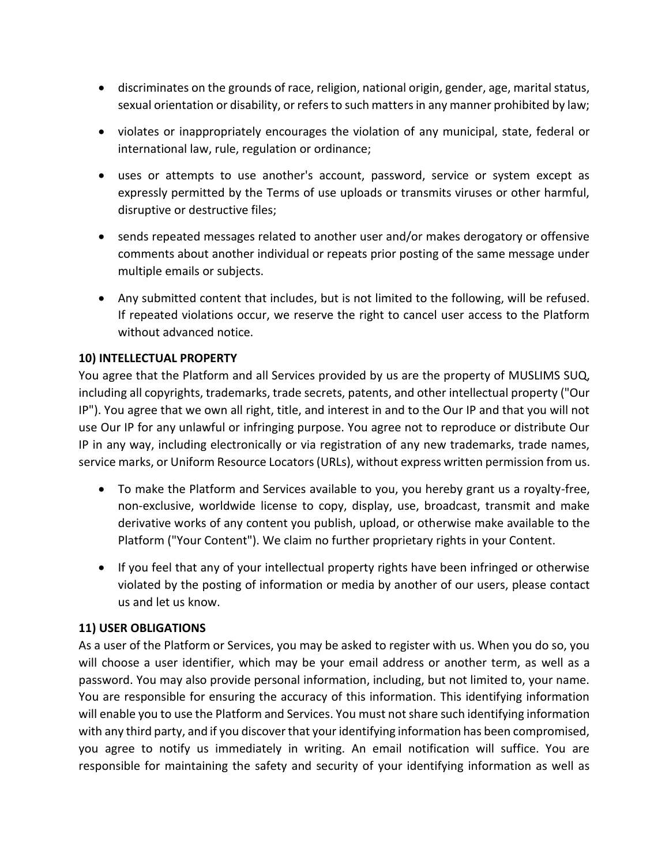- discriminates on the grounds of race, religion, national origin, gender, age, marital status, sexual orientation or disability, or refers to such matters in any manner prohibited by law;
- violates or inappropriately encourages the violation of any municipal, state, federal or international law, rule, regulation or ordinance;
- uses or attempts to use another's account, password, service or system except as expressly permitted by the Terms of use uploads or transmits viruses or other harmful, disruptive or destructive files;
- sends repeated messages related to another user and/or makes derogatory or offensive comments about another individual or repeats prior posting of the same message under multiple emails or subjects.
- Any submitted content that includes, but is not limited to the following, will be refused. If repeated violations occur, we reserve the right to cancel user access to the Platform without advanced notice.

## <span id="page-4-0"></span>**10) INTELLECTUAL PROPERTY**

You agree that the Platform and all Services provided by us are the property of MUSLIMS SUQ, including all copyrights, trademarks, trade secrets, patents, and other intellectual property ("Our IP"). You agree that we own all right, title, and interest in and to the Our IP and that you will not use Our IP for any unlawful or infringing purpose. You agree not to reproduce or distribute Our IP in any way, including electronically or via registration of any new trademarks, trade names, service marks, or Uniform Resource Locators (URLs), without express written permission from us.

- To make the Platform and Services available to you, you hereby grant us a royalty-free, non-exclusive, worldwide license to copy, display, use, broadcast, transmit and make derivative works of any content you publish, upload, or otherwise make available to the Platform ("Your Content"). We claim no further proprietary rights in your Content.
- If you feel that any of your intellectual property rights have been infringed or otherwise violated by the posting of information or media by another of our users, please contact us and let us know.

## <span id="page-4-1"></span>**11) USER OBLIGATIONS**

As a user of the Platform or Services, you may be asked to register with us. When you do so, you will choose a user identifier, which may be your email address or another term, as well as a password. You may also provide personal information, including, but not limited to, your name. You are responsible for ensuring the accuracy of this information. This identifying information will enable you to use the Platform and Services. You must not share such identifying information with any third party, and if you discover that your identifying information has been compromised, you agree to notify us immediately in writing. An email notification will suffice. You are responsible for maintaining the safety and security of your identifying information as well as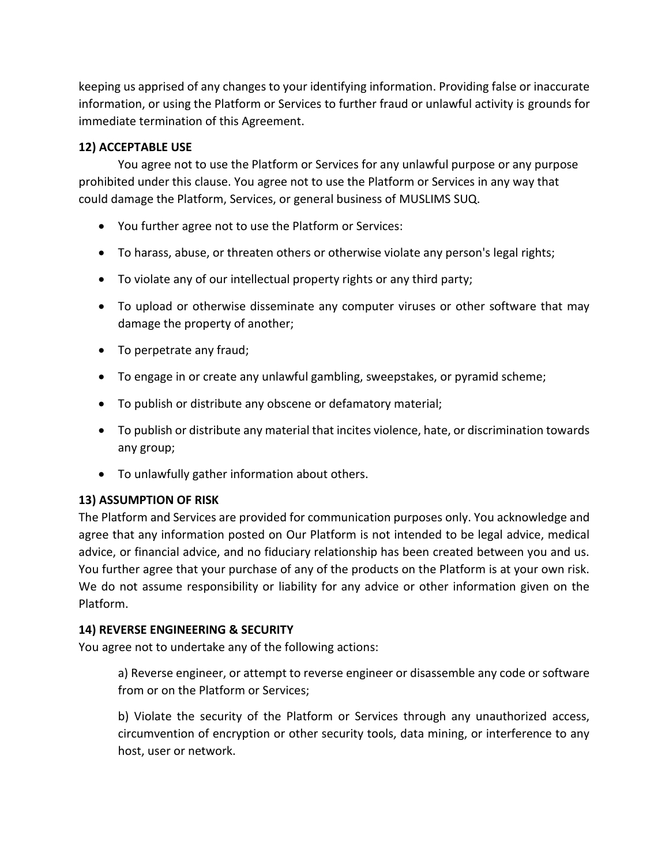keeping us apprised of any changes to your identifying information. Providing false or inaccurate information, or using the Platform or Services to further fraud or unlawful activity is grounds for immediate termination of this Agreement.

## <span id="page-5-0"></span>**12) ACCEPTABLE USE**

You agree not to use the Platform or Services for any unlawful purpose or any purpose prohibited under this clause. You agree not to use the Platform or Services in any way that could damage the Platform, Services, or general business of MUSLIMS SUQ.

- You further agree not to use the Platform or Services:
- To harass, abuse, or threaten others or otherwise violate any person's legal rights;
- To violate any of our intellectual property rights or any third party;
- To upload or otherwise disseminate any computer viruses or other software that may damage the property of another;
- To perpetrate any fraud;
- To engage in or create any unlawful gambling, sweepstakes, or pyramid scheme;
- To publish or distribute any obscene or defamatory material;
- To publish or distribute any material that incites violence, hate, or discrimination towards any group;
- To unlawfully gather information about others.

## <span id="page-5-1"></span>**13) ASSUMPTION OF RISK**

The Platform and Services are provided for communication purposes only. You acknowledge and agree that any information posted on Our Platform is not intended to be legal advice, medical advice, or financial advice, and no fiduciary relationship has been created between you and us. You further agree that your purchase of any of the products on the Platform is at your own risk. We do not assume responsibility or liability for any advice or other information given on the Platform.

## <span id="page-5-2"></span>**14) REVERSE ENGINEERING & SECURITY**

You agree not to undertake any of the following actions:

a) Reverse engineer, or attempt to reverse engineer or disassemble any code or software from or on the Platform or Services;

b) Violate the security of the Platform or Services through any unauthorized access, circumvention of encryption or other security tools, data mining, or interference to any host, user or network.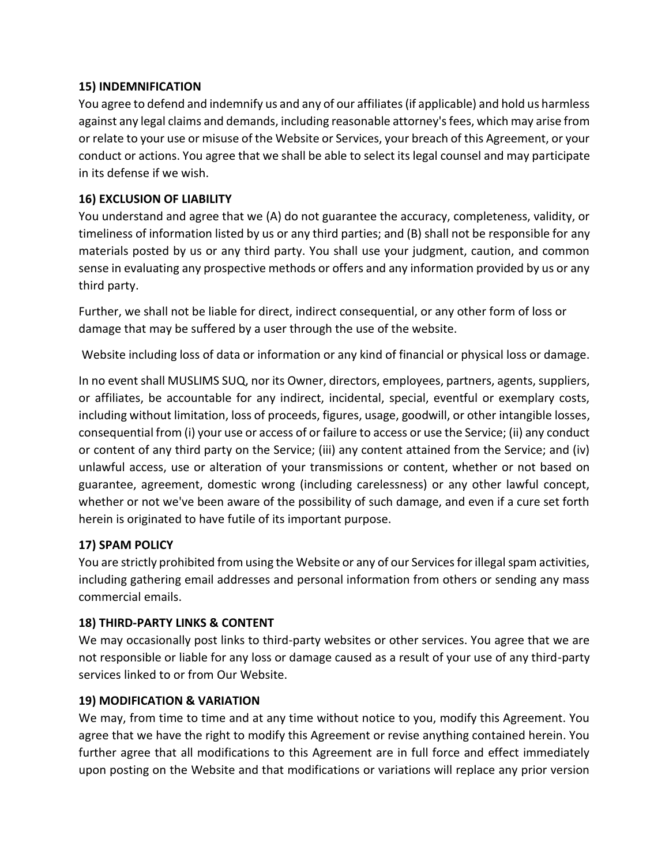## <span id="page-6-0"></span>**15) INDEMNIFICATION**

You agree to defend and indemnify us and any of our affiliates (if applicable) and hold us harmless against any legal claims and demands, including reasonable attorney's fees, which may arise from or relate to your use or misuse of the Website or Services, your breach of this Agreement, or your conduct or actions. You agree that we shall be able to select its legal counsel and may participate in its defense if we wish.

## <span id="page-6-1"></span>**16) EXCLUSION OF LIABILITY**

You understand and agree that we (A) do not guarantee the accuracy, completeness, validity, or timeliness of information listed by us or any third parties; and (B) shall not be responsible for any materials posted by us or any third party. You shall use your judgment, caution, and common sense in evaluating any prospective methods or offers and any information provided by us or any third party.

Further, we shall not be liable for direct, indirect consequential, or any other form of loss or damage that may be suffered by a user through the use of the website.

Website including loss of data or information or any kind of financial or physical loss or damage.

In no event shall MUSLIMS SUQ, nor its Owner, directors, employees, partners, agents, suppliers, or affiliates, be accountable for any indirect, incidental, special, eventful or exemplary costs, including without limitation, loss of proceeds, figures, usage, goodwill, or other intangible losses, consequential from (i) your use or access of or failure to access or use the Service; (ii) any conduct or content of any third party on the Service; (iii) any content attained from the Service; and (iv) unlawful access, use or alteration of your transmissions or content, whether or not based on guarantee, agreement, domestic wrong (including carelessness) or any other lawful concept, whether or not we've been aware of the possibility of such damage, and even if a cure set forth herein is originated to have futile of its important purpose.

## <span id="page-6-2"></span>**17) SPAM POLICY**

You are strictly prohibited from using the Website or any of our Services for illegal spam activities, including gathering email addresses and personal information from others or sending any mass commercial emails.

#### <span id="page-6-3"></span>**18) THIRD-PARTY LINKS & CONTENT**

We may occasionally post links to third-party websites or other services. You agree that we are not responsible or liable for any loss or damage caused as a result of your use of any third-party services linked to or from Our Website.

#### <span id="page-6-4"></span>**19) MODIFICATION & VARIATION**

We may, from time to time and at any time without notice to you, modify this Agreement. You agree that we have the right to modify this Agreement or revise anything contained herein. You further agree that all modifications to this Agreement are in full force and effect immediately upon posting on the Website and that modifications or variations will replace any prior version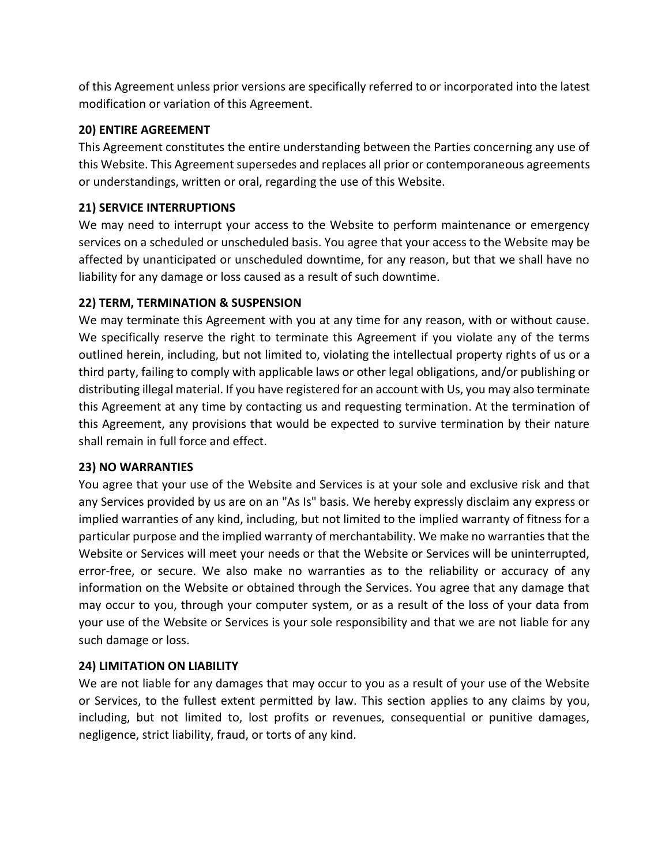of this Agreement unless prior versions are specifically referred to or incorporated into the latest modification or variation of this Agreement.

#### <span id="page-7-0"></span>**20) ENTIRE AGREEMENT**

This Agreement constitutes the entire understanding between the Parties concerning any use of this Website. This Agreement supersedes and replaces all prior or contemporaneous agreements or understandings, written or oral, regarding the use of this Website.

## <span id="page-7-1"></span>**21) SERVICE INTERRUPTIONS**

We may need to interrupt your access to the Website to perform maintenance or emergency services on a scheduled or unscheduled basis. You agree that your access to the Website may be affected by unanticipated or unscheduled downtime, for any reason, but that we shall have no liability for any damage or loss caused as a result of such downtime.

## <span id="page-7-2"></span>**22) TERM, TERMINATION & SUSPENSION**

We may terminate this Agreement with you at any time for any reason, with or without cause. We specifically reserve the right to terminate this Agreement if you violate any of the terms outlined herein, including, but not limited to, violating the intellectual property rights of us or a third party, failing to comply with applicable laws or other legal obligations, and/or publishing or distributing illegal material. If you have registered for an account with Us, you may also terminate this Agreement at any time by contacting us and requesting termination. At the termination of this Agreement, any provisions that would be expected to survive termination by their nature shall remain in full force and effect.

## <span id="page-7-3"></span>**23) NO WARRANTIES**

You agree that your use of the Website and Services is at your sole and exclusive risk and that any Services provided by us are on an "As Is" basis. We hereby expressly disclaim any express or implied warranties of any kind, including, but not limited to the implied warranty of fitness for a particular purpose and the implied warranty of merchantability. We make no warranties that the Website or Services will meet your needs or that the Website or Services will be uninterrupted, error-free, or secure. We also make no warranties as to the reliability or accuracy of any information on the Website or obtained through the Services. You agree that any damage that may occur to you, through your computer system, or as a result of the loss of your data from your use of the Website or Services is your sole responsibility and that we are not liable for any such damage or loss.

## <span id="page-7-4"></span>**24) LIMITATION ON LIABILITY**

We are not liable for any damages that may occur to you as a result of your use of the Website or Services, to the fullest extent permitted by law. This section applies to any claims by you, including, but not limited to, lost profits or revenues, consequential or punitive damages, negligence, strict liability, fraud, or torts of any kind.